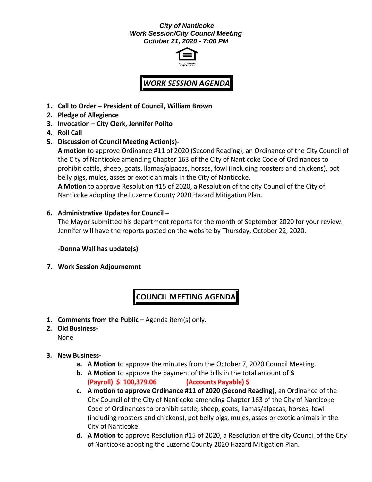## *City of Nanticoke Work Session/City Council Meeting October 21, 2020 - 7:00 PM*



# *WORK SESSION AGENDA*

- **1. Call to Order – President of Council, William Brown**
- **2. Pledge of Allegience**
- **3. Invocation – City Clerk, Jennifer Polito**
- **4. Roll Call**
- **5. Discussion of Council Meeting Action(s)-**

**A motion** to approve Ordinance #11 of 2020 (Second Reading), an Ordinance of the City Council of the City of Nanticoke amending Chapter 163 of the City of Nanticoke Code of Ordinances to prohibit cattle, sheep, goats, llamas/alpacas, horses, fowl (including roosters and chickens), pot belly pigs, mules, asses or exotic animals in the City of Nanticoke.

**A Motion** to approve Resolution #15 of 2020, a Resolution of the city Council of the City of Nanticoke adopting the Luzerne County 2020 Hazard Mitigation Plan.

## **6. Administrative Updates for Council –**

The Mayor submitted his department reports for the month of September 2020 for your review. Jennifer will have the reports posted on the website by Thursday, October 22, 2020.

**-Donna Wall has update(s)**

**7. Work Session Adjournemnt**

## **COUNCIL MEETING AGENDA**

- **1. Comments from the Public –** Agenda item(s) only.
- **2. Old Business-**None
- **3. New Business**
	- **a. A Motion** to approve the minutes from the October 7, 2020 Council Meeting.
	- **b. A Motion** to approve the payment of the bills in the total amount of **\$ (Payroll) \$ 100,379.06 (Accounts Payable) \$**
	- **c. A motion to approve Ordinance #11 of 2020 (Second Reading),** an Ordinance of the City Council of the City of Nanticoke amending Chapter 163 of the City of Nanticoke Code of Ordinances to prohibit cattle, sheep, goats, llamas/alpacas, horses, fowl (including roosters and chickens), pot belly pigs, mules, asses or exotic animals in the City of Nanticoke.
	- **d. A Motion** to approve Resolution #15 of 2020, a Resolution of the city Council of the City of Nanticoke adopting the Luzerne County 2020 Hazard Mitigation Plan.